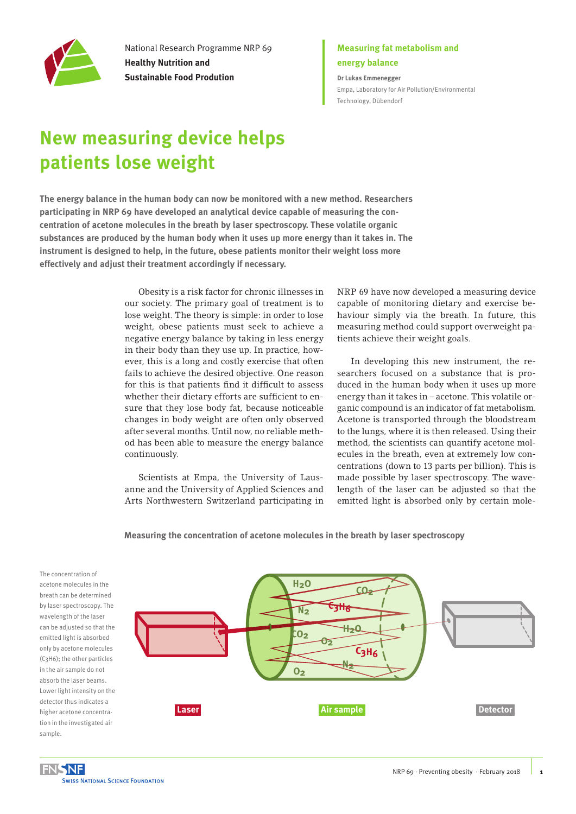

National Research Programme NRP 69 **Healthy Nutrition and Sustainable Food Prodution**

## **Measuring fat metabolism and energy balance**

**Dr Lukas Emmenegger** [Empa, Laboratory for Air Pollution/Environmental](https://www.empa.ch/web/s503)  [Technology, Dübendorf](https://www.empa.ch/web/s503)

## **New measuring device helps patients lose weight**

**The energy balance in the human body can now be monitored with a new method. Researchers participating in NRP 69 have developed an analytical device capable of measuring the concentration of acetone molecules in the breath by laser spectroscopy. These volatile organic substances are produced by the human body when it uses up more energy than it takes in. The instrument is designed to help, in the future, obese patients monitor their weight loss more effectively and adjust their treatment accordingly if necessary.** 

> Obesity is a risk factor for chronic illnesses in our society. The primary goal of treatment is to lose weight. The theory is simple: in order to lose weight, obese patients must seek to achieve a negative energy balance by taking in less energy in their body than they use up. In practice, however, this is a long and costly exercise that often fails to achieve the desired objective. One reason for this is that patients find it difficult to assess whether their dietary efforts are sufficient to ensure that they lose body fat, because noticeable changes in body weight are often only observed after several months. Until now, no reliable method has been able to measure the energy balance continuously.

> Scientists at Empa, the University of Lausanne and the University of Applied Sciences and Arts Northwestern Switzerland participating in

NRP 69 have now developed a measuring device capable of monitoring dietary and exercise behaviour simply via the breath. In future, this measuring method could support overweight patients achieve their weight goals.

In developing this new instrument, the researchers focused on a substance that is produced in the human body when it uses up more energy than it takes in – acetone. This volatile organic compound is an indicator of fat metabolism. Acetone is transported through the bloodstream to the lungs, where it is then released. Using their method, the scientists can quantify acetone molecules in the breath, even at extremely low concentrations (down to 13 parts per billion). This is made possible by laser spectroscopy. The wavelength of the laser can be adjusted so that the emitted light is absorbed only by certain mole-

**Measuring the concentration of acetone molecules in the breath by laser spectroscopy**

The concentration of acetone molecules in the breath can be determined by laser spectroscopy. The wavelength of the laser can be adjusted so that the emitted light is absorbed only by acetone molecules (C3H6); the other particles in the air sample do not absorb the laser beams. Lower light intensity on the detector thus indicates a higher acetone concentration in the investigated air sample.